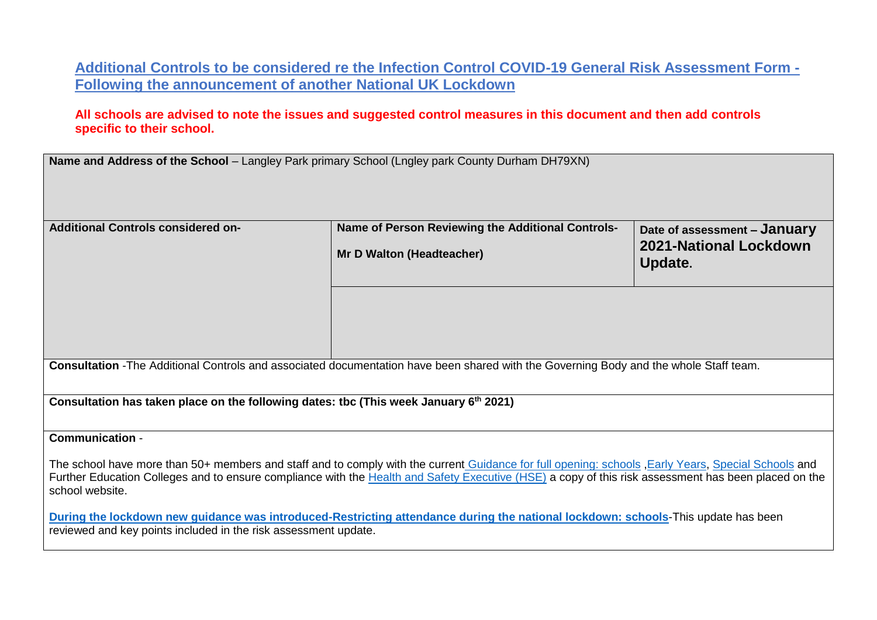## **Additional Controls to be considered re the Infection Control COVID-19 General Risk Assessment Form - Following the announcement of another National UK Lockdown**

**All schools are advised to note the issues and suggested control measures in this document and then add controls specific to their school.** 

**Name and Address of the School** – Langley Park primary School (Lngley park County Durham DH79XN)

| <b>Additional Controls considered on-</b>                                             | Name of Person Reviewing the Additional Controls-                                                                                                                                                                                                                                                           | Date of assessment - January<br>2021-National Lockdown |
|---------------------------------------------------------------------------------------|-------------------------------------------------------------------------------------------------------------------------------------------------------------------------------------------------------------------------------------------------------------------------------------------------------------|--------------------------------------------------------|
|                                                                                       | Mr D Walton (Headteacher)                                                                                                                                                                                                                                                                                   | Update.                                                |
|                                                                                       |                                                                                                                                                                                                                                                                                                             |                                                        |
|                                                                                       |                                                                                                                                                                                                                                                                                                             |                                                        |
|                                                                                       | <b>Consultation</b> -The Additional Controls and associated documentation have been shared with the Governing Body and the whole Staff team.                                                                                                                                                                |                                                        |
| Consultation has taken place on the following dates: tbc (This week January 6th 2021) |                                                                                                                                                                                                                                                                                                             |                                                        |
| <b>Communication -</b>                                                                |                                                                                                                                                                                                                                                                                                             |                                                        |
| school website.                                                                       | The school have more than 50+ members and staff and to comply with the current Guidance for full opening: schools, Early Years, Special Schools and<br>Further Education Colleges and to ensure compliance with the Health and Safety Executive (HSE) a copy of this risk assessment has been placed on the |                                                        |

**[During the lockdown new guidance was introduced-Restricting attendance during the national lockdown: schools](https://www.gov.uk/government/publications/actions-for-schools-during-the-coronavirus-outbreak/guidance-for-full-opening-schools)**-This update has been reviewed and key points included in the risk assessment update.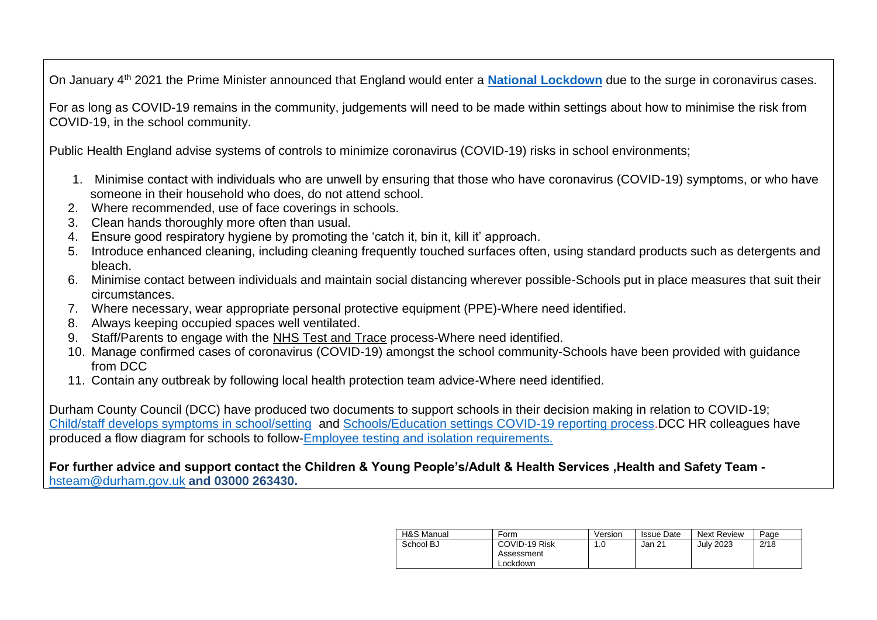On January 4th 2021 the Prime Minister announced that England would enter a **[National Lockdown](https://www.gov.uk/guidance/national-lockdown-stay-at-home)** due to the surge in coronavirus cases.

For as long as COVID-19 remains in the community, judgements will need to be made within settings about how to minimise the risk from COVID-19, in the school community.

Public Health England advise systems of controls to minimize coronavirus (COVID-19) risks in school environments;

- 1. Minimise contact with individuals who are unwell by ensuring that those who have coronavirus (COVID-19) symptoms, or who have someone in their household who does, do not attend school.
- 2. Where recommended, use of face coverings in schools.
- 3. Clean hands thoroughly more often than usual.
- 4. Ensure good respiratory hygiene by promoting the 'catch it, bin it, kill it' approach.
- 5. Introduce enhanced cleaning, including cleaning frequently touched surfaces often, using standard products such as detergents and bleach.
- 6. Minimise contact between individuals and maintain social distancing wherever possible-Schools put in place measures that suit their circumstances.
- 7. Where necessary, wear appropriate personal protective equipment (PPE)-Where need identified.
- 8. Always keeping occupied spaces well ventilated.
- 9. Staff/Parents to engage with the [NHS Test and Trace](https://www.gov.uk/guidance/nhs-test-and-trace-how-it-works) process-Where need identified.
- 10. Manage confirmed cases of coronavirus (COVID-19) amongst the school community-Schools have been provided with guidance from DCC
- 11. Contain any outbreak by following local health protection team advice-Where need identified.

Durham County Council (DCC) have produced two documents to support schools in their decision making in relation to COVID-19; [Child/staff develops symptoms in school/setting](https://gateway.durhamschools.org.uk/premises/healthsafety/Lists/Covid19/Document.aspx?ID=1&Source=https://gateway.durhamschools.org.uk/premises/healthsafety%2FLists/Covid19) and [Schools/Education settings COVID-19 reporting process.](https://gateway.durhamschools.org.uk/premises/healthsafety/Lists/Covid19/Document.aspx?ID=1&Source=https://gateway.durhamschools.org.uk/premises/healthsafety%2FLists/Covid19)DCC HR colleagues have produced a flow diagram for schools to follow[-Employee testing and isolation requirements.](https://gateway.durhamschools.org.uk/staff/coronavirus/Lists/News/Article.aspx?ID=104&Source=https%3A%2F%2Fgateway%2Edurhamschools%2Eorg%2Euk%2Fstaff%2Fcoronavirus%2Fdefault%2Easpx&ContentTypeId=0x0104008915FA378D18459F9146E20845A8904D00B30336EC3294CD499B1D8BFA7A6DBFA7)

## **For further advice and support contact the Children & Young People's/Adult & Health Services ,Health and Safety Team**  [hsteam@durham.gov.uk](mailto:hsteam@durham.gov.uk) **and 03000 263430.**

| H&S Manual | Form                                    | Version | <b>Issue Date</b> | <b>Next Review</b> | Page |
|------------|-----------------------------------------|---------|-------------------|--------------------|------|
| School BJ  | COVID-19 Risk<br>Assessment<br>_ockdown |         | Jan 21            | <b>July 2023</b>   | 2/18 |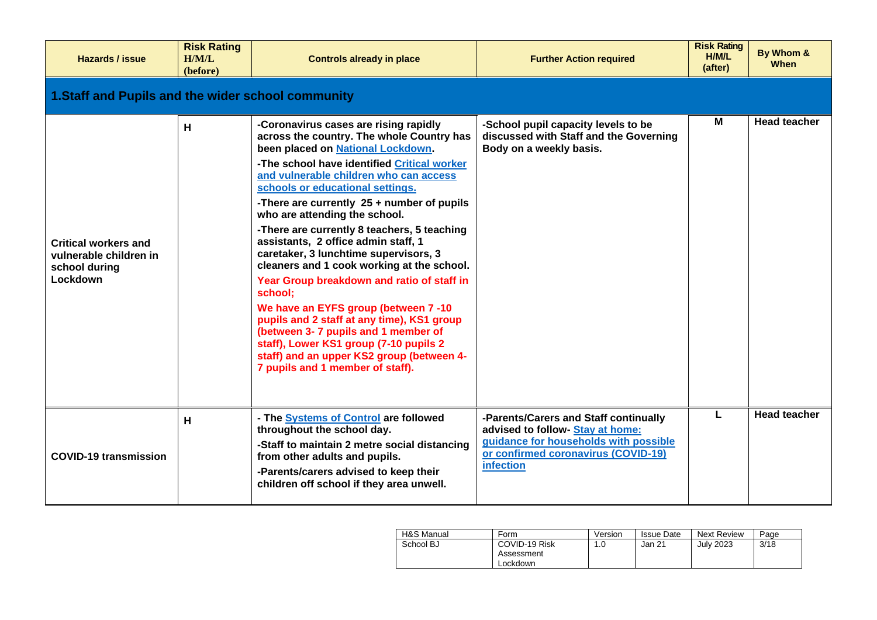| <b>Hazards / issue</b>                                                             | <b>Risk Rating</b><br>H/M/L<br>(before) | <b>Controls already in place</b>                                                                                                                                                                                                                                                                                                                                                                                                                                                                                                                                                                                                                                                                                                                                                                                                  | <b>Further Action required</b>                                                                                                                                                | <b>Risk Rating</b><br>H/M/L<br>(after) | By Whom &<br>When   |
|------------------------------------------------------------------------------------|-----------------------------------------|-----------------------------------------------------------------------------------------------------------------------------------------------------------------------------------------------------------------------------------------------------------------------------------------------------------------------------------------------------------------------------------------------------------------------------------------------------------------------------------------------------------------------------------------------------------------------------------------------------------------------------------------------------------------------------------------------------------------------------------------------------------------------------------------------------------------------------------|-------------------------------------------------------------------------------------------------------------------------------------------------------------------------------|----------------------------------------|---------------------|
| 1. Staff and Pupils and the wider school community                                 |                                         |                                                                                                                                                                                                                                                                                                                                                                                                                                                                                                                                                                                                                                                                                                                                                                                                                                   |                                                                                                                                                                               |                                        |                     |
| <b>Critical workers and</b><br>vulnerable children in<br>school during<br>Lockdown | H                                       | -Coronavirus cases are rising rapidly<br>across the country. The whole Country has<br>been placed on National Lockdown.<br>-The school have identified Critical worker<br>and vulnerable children who can access<br>schools or educational settings.<br>-There are currently 25 + number of pupils<br>who are attending the school.<br>-There are currently 8 teachers, 5 teaching<br>assistants, 2 office admin staff, 1<br>caretaker, 3 lunchtime supervisors, 3<br>cleaners and 1 cook working at the school.<br>Year Group breakdown and ratio of staff in<br>school;<br>We have an EYFS group (between 7 -10<br>pupils and 2 staff at any time), KS1 group<br>(between 3-7 pupils and 1 member of<br>staff), Lower KS1 group (7-10 pupils 2<br>staff) and an upper KS2 group (between 4-<br>7 pupils and 1 member of staff). | -School pupil capacity levels to be<br>discussed with Staff and the Governing<br>Body on a weekly basis.                                                                      | M                                      | <b>Head teacher</b> |
| <b>COVID-19 transmission</b>                                                       | н                                       | - The Systems of Control are followed<br>throughout the school day.<br>-Staff to maintain 2 metre social distancing<br>from other adults and pupils.<br>-Parents/carers advised to keep their<br>children off school if they area unwell.                                                                                                                                                                                                                                                                                                                                                                                                                                                                                                                                                                                         | -Parents/Carers and Staff continually<br>advised to follow- Stay at home:<br>guidance for households with possible<br>or confirmed coronavirus (COVID-19)<br><b>infection</b> |                                        | <b>Head teacher</b> |

| H&S Manual | Form                                    | Version | <b>Issue Date</b> | <b>Next Review</b> | Page |
|------------|-----------------------------------------|---------|-------------------|--------------------|------|
| School BJ  | COVID-19 Risk<br>Assessment<br>_ockdown | .0<br>л | Jan 21            | <b>July 2023</b>   | 3/18 |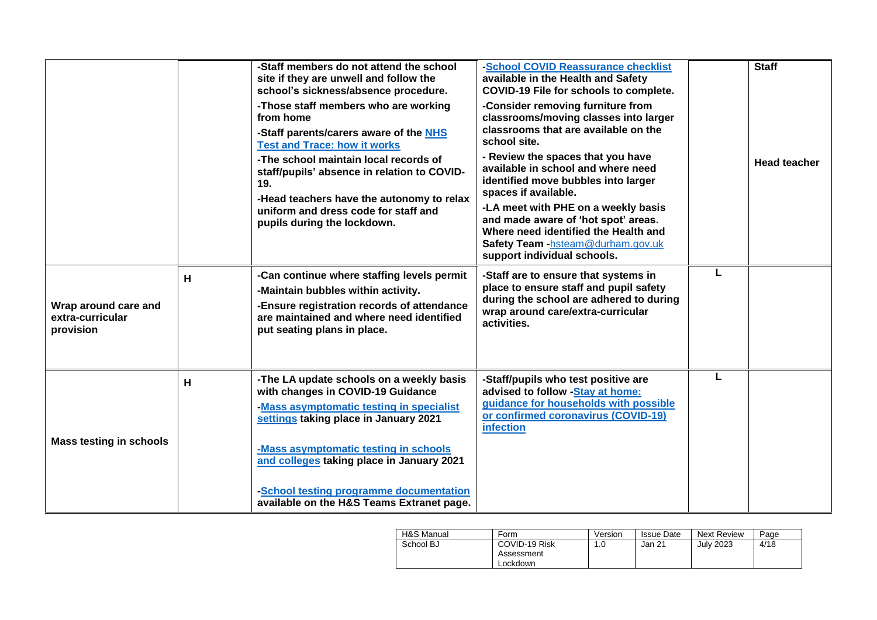|                                                       |   | -Staff members do not attend the school<br>site if they are unwell and follow the<br>school's sickness/absence procedure.<br>-Those staff members who are working<br>from home<br>-Staff parents/carers aware of the NHS<br><b>Test and Trace: how it works</b><br>-The school maintain local records of<br>staff/pupils' absence in relation to COVID-<br>19.<br>-Head teachers have the autonomy to relax<br>uniform and dress code for staff and<br>pupils during the lockdown. | -School COVID Reassurance checklist<br>available in the Health and Safety<br>COVID-19 File for schools to complete.<br>-Consider removing furniture from<br>classrooms/moving classes into larger<br>classrooms that are available on the<br>school site.<br>- Review the spaces that you have<br>available in school and where need<br>identified move bubbles into larger<br>spaces if available.<br>-LA meet with PHE on a weekly basis<br>and made aware of 'hot spot' areas.<br>Where need identified the Health and<br>Safety Team -hsteam@durham.gov.uk<br>support individual schools. |   | <b>Staff</b><br><b>Head teacher</b> |
|-------------------------------------------------------|---|------------------------------------------------------------------------------------------------------------------------------------------------------------------------------------------------------------------------------------------------------------------------------------------------------------------------------------------------------------------------------------------------------------------------------------------------------------------------------------|-----------------------------------------------------------------------------------------------------------------------------------------------------------------------------------------------------------------------------------------------------------------------------------------------------------------------------------------------------------------------------------------------------------------------------------------------------------------------------------------------------------------------------------------------------------------------------------------------|---|-------------------------------------|
| Wrap around care and<br>extra-curricular<br>provision | н | -Can continue where staffing levels permit<br>-Maintain bubbles within activity.<br>-Ensure registration records of attendance<br>are maintained and where need identified<br>put seating plans in place.                                                                                                                                                                                                                                                                          | -Staff are to ensure that systems in<br>place to ensure staff and pupil safety<br>during the school are adhered to during<br>wrap around care/extra-curricular<br>activities.                                                                                                                                                                                                                                                                                                                                                                                                                 | L |                                     |
| <b>Mass testing in schools</b>                        | н | -The LA update schools on a weekly basis<br>with changes in COVID-19 Guidance<br>-Mass asymptomatic testing in specialist<br>settings taking place in January 2021<br>-Mass asymptomatic testing in schools<br>and colleges taking place in January 2021<br>-School testing programme documentation<br>available on the H&S Teams Extranet page.                                                                                                                                   | -Staff/pupils who test positive are<br>advised to follow -Stay at home:<br>guidance for households with possible<br>or confirmed coronavirus (COVID-19)<br>infection                                                                                                                                                                                                                                                                                                                                                                                                                          | L |                                     |

| H&S Manual | Form                                    | Version | <b>Issue Date</b> | <b>Next Review</b> | Page |
|------------|-----------------------------------------|---------|-------------------|--------------------|------|
| School BJ  | COVID-19 Risk<br>Assessment<br>Lockdown | .0      | Jan 21            | <b>July 2023</b>   | 4/18 |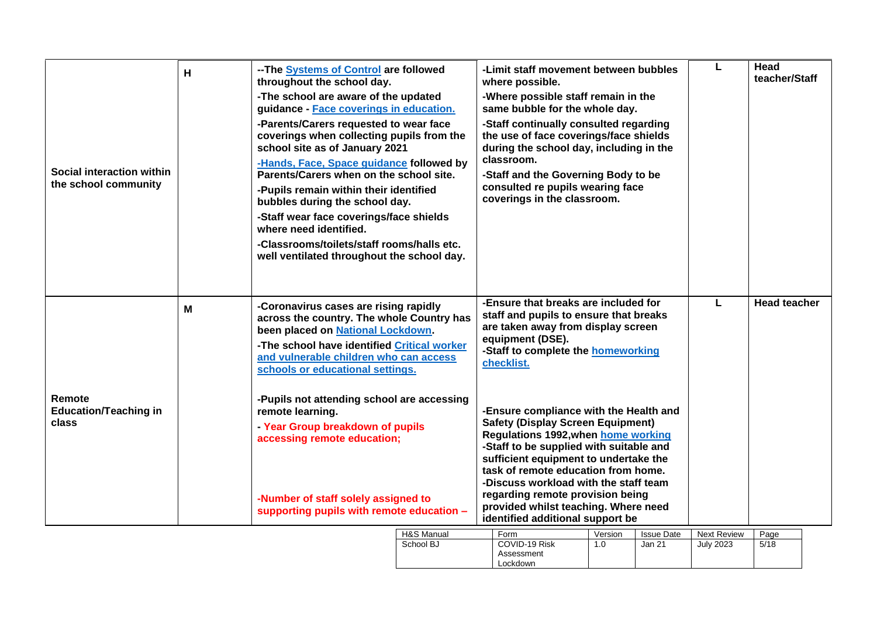| Social interaction within<br>the school community | н | -- The Systems of Control are followed<br>throughout the school day.<br>-The school are aware of the updated<br>guidance - Face coverings in education.<br>-Parents/Carers requested to wear face<br>coverings when collecting pupils from the<br>school site as of January 2021<br>-Hands, Face, Space guidance followed by<br>Parents/Carers when on the school site.<br>-Pupils remain within their identified<br>bubbles during the school day.<br>-Staff wear face coverings/face shields<br>where need identified.<br>-Classrooms/toilets/staff rooms/halls etc.<br>well ventilated throughout the school day. |                         | -Limit staff movement between bubbles<br>where possible.<br>-Where possible staff remain in the<br>same bubble for the whole day.<br>-Staff continually consulted regarding<br>the use of face coverings/face shields<br>during the school day, including in the<br>classroom.<br>-Staff and the Governing Body to be<br>consulted re pupils wearing face<br>coverings in the classroom.                                                                                                                                                                                                                                    |                |                                    | L                                      | Head<br>teacher/Staff |  |
|---------------------------------------------------|---|----------------------------------------------------------------------------------------------------------------------------------------------------------------------------------------------------------------------------------------------------------------------------------------------------------------------------------------------------------------------------------------------------------------------------------------------------------------------------------------------------------------------------------------------------------------------------------------------------------------------|-------------------------|-----------------------------------------------------------------------------------------------------------------------------------------------------------------------------------------------------------------------------------------------------------------------------------------------------------------------------------------------------------------------------------------------------------------------------------------------------------------------------------------------------------------------------------------------------------------------------------------------------------------------------|----------------|------------------------------------|----------------------------------------|-----------------------|--|
| Remote<br><b>Education/Teaching in</b><br>class   | м | -Coronavirus cases are rising rapidly<br>across the country. The whole Country has<br>been placed on National Lockdown.<br>-The school have identified Critical worker<br>and vulnerable children who can access<br>schools or educational settings.<br>-Pupils not attending school are accessing<br>remote learning.<br>- Year Group breakdown of pupils<br>accessing remote education;<br>-Number of staff solely assigned to<br>supporting pupils with remote education -                                                                                                                                        |                         | -Ensure that breaks are included for<br>staff and pupils to ensure that breaks<br>are taken away from display screen<br>equipment (DSE).<br>-Staff to complete the <b>homeworking</b><br>checklist.<br>-Ensure compliance with the Health and<br><b>Safety (Display Screen Equipment)</b><br><b>Regulations 1992, when home working</b><br>-Staff to be supplied with suitable and<br>sufficient equipment to undertake the<br>task of remote education from home.<br>-Discuss workload with the staff team<br>regarding remote provision being<br>provided whilst teaching. Where need<br>identified additional support be |                |                                    | L                                      | <b>Head teacher</b>   |  |
|                                                   |   |                                                                                                                                                                                                                                                                                                                                                                                                                                                                                                                                                                                                                      | H&S Manual<br>School BJ | Form<br>COVID-19 Risk<br>Assessment                                                                                                                                                                                                                                                                                                                                                                                                                                                                                                                                                                                         | Version<br>1.0 | <b>Issue Date</b><br><b>Jan 21</b> | <b>Next Review</b><br><b>July 2023</b> | Page<br>5/18          |  |

Lockdown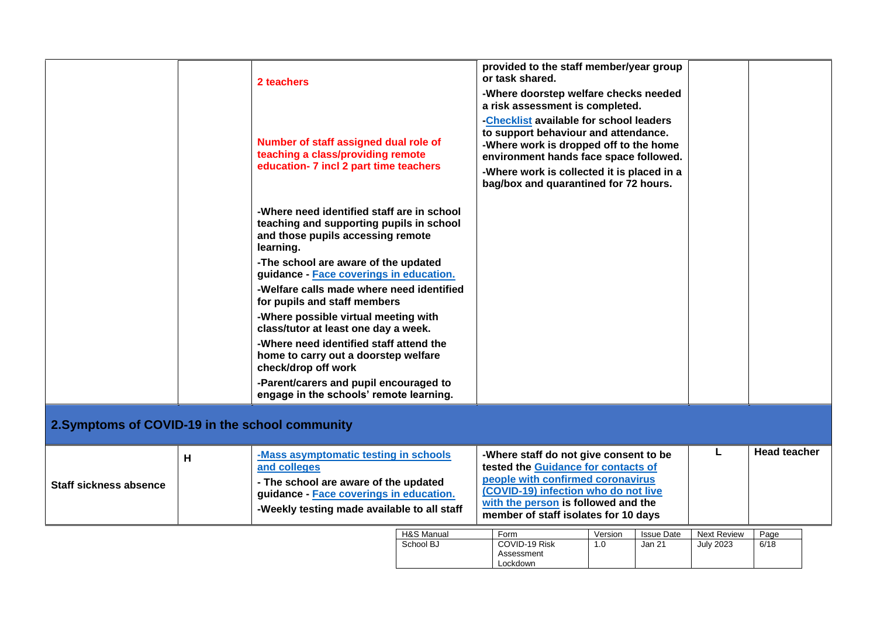|                                                 |   | 2 teachers<br>Number of staff assigned dual role of<br>teaching a class/providing remote<br>education- 7 incl 2 part time teachers<br>-Where need identified staff are in school<br>teaching and supporting pupils in school<br>and those pupils accessing remote<br>learning.<br>-The school are aware of the updated<br>guidance - Face coverings in education.<br>-Welfare calls made where need identified<br>for pupils and staff members<br>-Where possible virtual meeting with<br>class/tutor at least one day a week.<br>-Where need identified staff attend the<br>home to carry out a doorstep welfare<br>check/drop off work<br>-Parent/carers and pupil encouraged to<br>engage in the schools' remote learning. |                         | provided to the staff member/year group<br>or task shared.<br>-Where doorstep welfare checks needed<br>a risk assessment is completed.<br>-Checklist available for school leaders<br>to support behaviour and attendance.<br>-Where work is dropped off to the home<br>environment hands face space followed.<br>-Where work is collected it is placed in a<br>bag/box and quarantined for 72 hours. |                |                                    |                                        |                     |  |
|-------------------------------------------------|---|-------------------------------------------------------------------------------------------------------------------------------------------------------------------------------------------------------------------------------------------------------------------------------------------------------------------------------------------------------------------------------------------------------------------------------------------------------------------------------------------------------------------------------------------------------------------------------------------------------------------------------------------------------------------------------------------------------------------------------|-------------------------|------------------------------------------------------------------------------------------------------------------------------------------------------------------------------------------------------------------------------------------------------------------------------------------------------------------------------------------------------------------------------------------------------|----------------|------------------------------------|----------------------------------------|---------------------|--|
| 2. Symptoms of COVID-19 in the school community |   |                                                                                                                                                                                                                                                                                                                                                                                                                                                                                                                                                                                                                                                                                                                               |                         |                                                                                                                                                                                                                                                                                                                                                                                                      |                |                                    |                                        |                     |  |
| <b>Staff sickness absence</b>                   | н | -Mass asymptomatic testing in schools<br>and colleges<br>- The school are aware of the updated<br>guidance - Face coverings in education.<br>-Weekly testing made available to all staff                                                                                                                                                                                                                                                                                                                                                                                                                                                                                                                                      |                         | -Where staff do not give consent to be<br>tested the Guidance for contacts of<br>people with confirmed coronavirus<br>(COVID-19) infection who do not live<br>with the person is followed and the<br>member of staff isolates for 10 days                                                                                                                                                            |                |                                    | L                                      | <b>Head teacher</b> |  |
|                                                 |   |                                                                                                                                                                                                                                                                                                                                                                                                                                                                                                                                                                                                                                                                                                                               | H&S Manual<br>School BJ | Form<br>COVID-19 Risk<br>Assessment<br>Lockdown                                                                                                                                                                                                                                                                                                                                                      | Version<br>1.0 | <b>Issue Date</b><br><b>Jan 21</b> | <b>Next Review</b><br><b>July 2023</b> | Page<br>6/18        |  |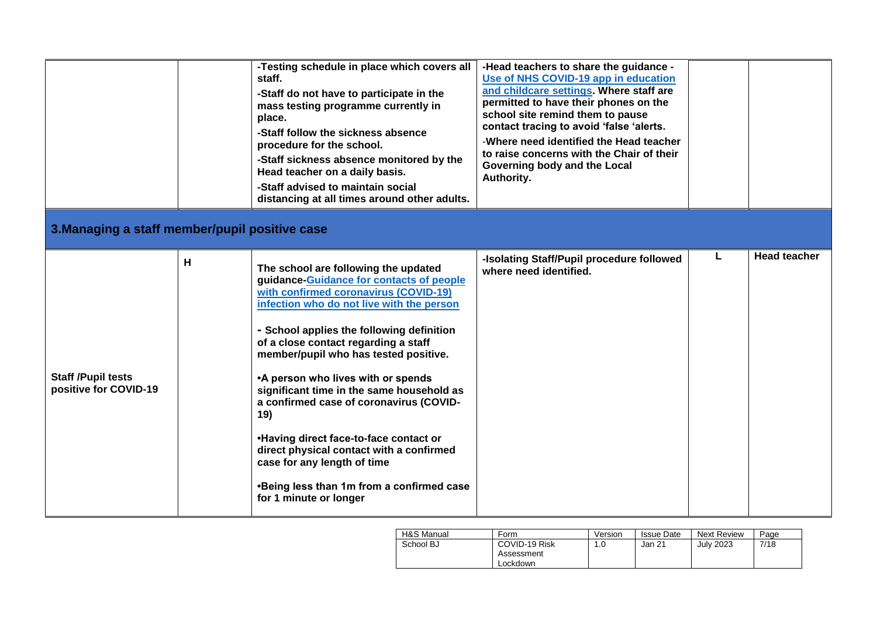|                                                    |   | -Testing schedule in place which covers all<br>staff.<br>-Staff do not have to participate in the<br>mass testing programme currently in<br>place.<br>-Staff follow the sickness absence<br>procedure for the school.<br>-Staff sickness absence monitored by the<br>Head teacher on a daily basis.<br>-Staff advised to maintain social<br>distancing at all times around other adults.                                                                                                                                                                                                                                              | -Head teachers to share the guidance -<br>Use of NHS COVID-19 app in education<br>and childcare settings. Where staff are<br>permitted to have their phones on the<br>school site remind them to pause<br>contact tracing to avoid 'false 'alerts.<br>-Where need identified the Head teacher<br>to raise concerns with the Chair of their<br>Governing body and the Local<br>Authority. |   |                     |
|----------------------------------------------------|---|---------------------------------------------------------------------------------------------------------------------------------------------------------------------------------------------------------------------------------------------------------------------------------------------------------------------------------------------------------------------------------------------------------------------------------------------------------------------------------------------------------------------------------------------------------------------------------------------------------------------------------------|------------------------------------------------------------------------------------------------------------------------------------------------------------------------------------------------------------------------------------------------------------------------------------------------------------------------------------------------------------------------------------------|---|---------------------|
| 3. Managing a staff member/pupil positive case     |   |                                                                                                                                                                                                                                                                                                                                                                                                                                                                                                                                                                                                                                       |                                                                                                                                                                                                                                                                                                                                                                                          |   |                     |
| <b>Staff /Pupil tests</b><br>positive for COVID-19 | н | The school are following the updated<br>guidance-Guidance for contacts of people<br>with confirmed coronavirus (COVID-19)<br>infection who do not live with the person<br>- School applies the following definition<br>of a close contact regarding a staff<br>member/pupil who has tested positive.<br>•A person who lives with or spends<br>significant time in the same household as<br>a confirmed case of coronavirus (COVID-<br>19)<br>•Having direct face-to-face contact or<br>direct physical contact with a confirmed<br>case for any length of time<br>•Being less than 1m from a confirmed case<br>for 1 minute or longer | -Isolating Staff/Pupil procedure followed<br>where need identified.                                                                                                                                                                                                                                                                                                                      | L | <b>Head teacher</b> |

| H&S Manual | Form                                    | Version | <b>Issue Date</b> | <b>Next Review</b> | Page |
|------------|-----------------------------------------|---------|-------------------|--------------------|------|
| School BJ  | COVID-19 Risk<br>Assessment<br>Lockdown | 1.0     | Jan 21            | <b>July 2023</b>   | 7/18 |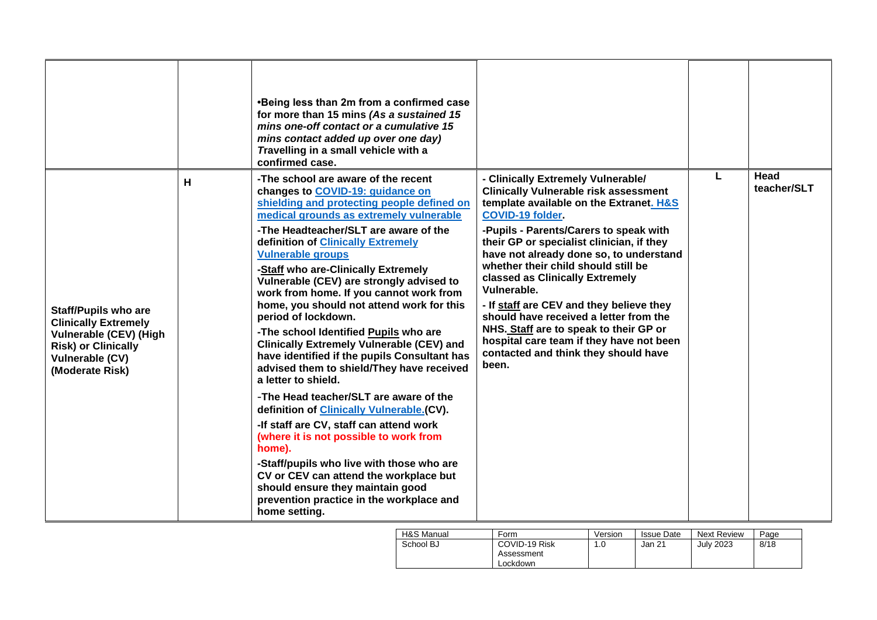|                                                                                                                                                                 |   | •Being less than 2m from a confirmed case<br>for more than 15 mins (As a sustained 15<br>mins one-off contact or a cumulative 15<br>mins contact added up over one day)<br>Travelling in a small vehicle with a<br>confirmed case.                                                                                                                                                                                                                                                                                                                                                                                                                                                                                                                                                                                                                                                                                                                                                                                                                                            |                                                                                                                                                                                                                                                                                                                                                                                                                                                                                                                                                                                                                  |   |                     |
|-----------------------------------------------------------------------------------------------------------------------------------------------------------------|---|-------------------------------------------------------------------------------------------------------------------------------------------------------------------------------------------------------------------------------------------------------------------------------------------------------------------------------------------------------------------------------------------------------------------------------------------------------------------------------------------------------------------------------------------------------------------------------------------------------------------------------------------------------------------------------------------------------------------------------------------------------------------------------------------------------------------------------------------------------------------------------------------------------------------------------------------------------------------------------------------------------------------------------------------------------------------------------|------------------------------------------------------------------------------------------------------------------------------------------------------------------------------------------------------------------------------------------------------------------------------------------------------------------------------------------------------------------------------------------------------------------------------------------------------------------------------------------------------------------------------------------------------------------------------------------------------------------|---|---------------------|
| <b>Staff/Pupils who are</b><br><b>Clinically Extremely</b><br><b>Vulnerable (CEV) (High</b><br><b>Risk) or Clinically</b><br>Vulnerable (CV)<br>(Moderate Risk) | Н | -The school are aware of the recent<br>changes to COVID-19: guidance on<br>shielding and protecting people defined on<br>medical grounds as extremely vulnerable<br>-The Headteacher/SLT are aware of the<br>definition of Clinically Extremely<br><b>Vulnerable groups</b><br>-Staff who are-Clinically Extremely<br>Vulnerable (CEV) are strongly advised to<br>work from home. If you cannot work from<br>home, you should not attend work for this<br>period of lockdown.<br>-The school Identified Pupils who are<br><b>Clinically Extremely Vulnerable (CEV) and</b><br>have identified if the pupils Consultant has<br>advised them to shield/They have received<br>a letter to shield.<br>-The Head teacher/SLT are aware of the<br>definition of Clinically Vulnerable. (CV).<br>-If staff are CV, staff can attend work<br>(where it is not possible to work from<br>home).<br>-Staff/pupils who live with those who are<br>CV or CEV can attend the workplace but<br>should ensure they maintain good<br>prevention practice in the workplace and<br>home setting. | - Clinically Extremely Vulnerable/<br><b>Clinically Vulnerable risk assessment</b><br>template available on the Extranet. H&S<br><b>COVID-19 folder.</b><br>-Pupils - Parents/Carers to speak with<br>their GP or specialist clinician, if they<br>have not already done so, to understand<br>whether their child should still be<br>classed as Clinically Extremely<br>Vulnerable.<br>- If staff are CEV and they believe they<br>should have received a letter from the<br>NHS. Staff are to speak to their GP or<br>hospital care team if they have not been<br>contacted and think they should have<br>been. | L | Head<br>teacher/SLT |

| H&S Manual | Form                                    | Version | <b>Issue Date</b> | <b>Next Review</b> | Page |
|------------|-----------------------------------------|---------|-------------------|--------------------|------|
| School BJ  | COVID-19 Risk<br>Assessment<br>Lockdown | .0<br>л | Jan 21            | <b>July 2023</b>   | 8/18 |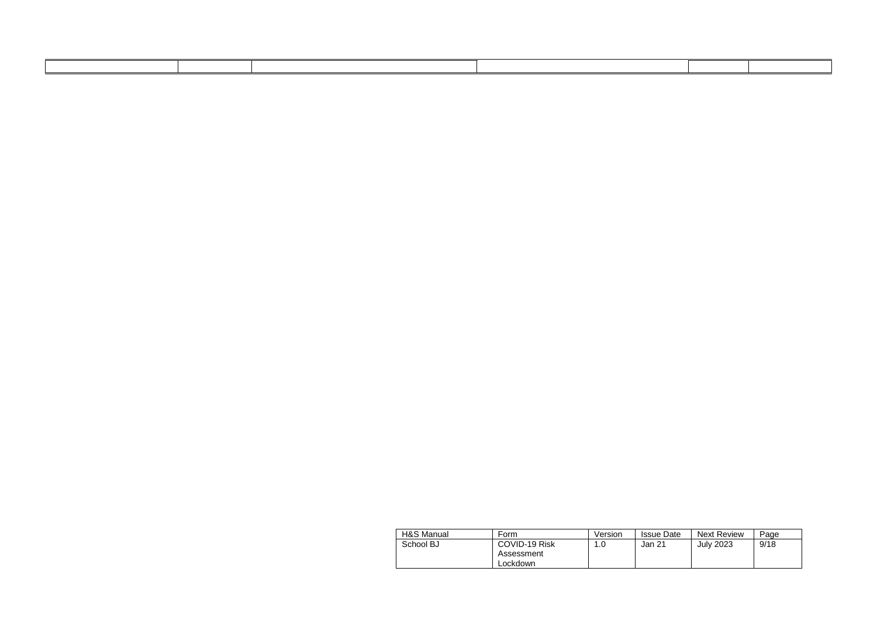| H&S Manual | Form                        | Version | <b>Issue Date</b> | <b>Next Review</b> | Page |
|------------|-----------------------------|---------|-------------------|--------------------|------|
| School BJ  | COVID-19 Risk<br>Assessment |         | Jan 21            | <b>July 2023</b>   | 9/18 |
|            | Lockdown                    |         |                   |                    |      |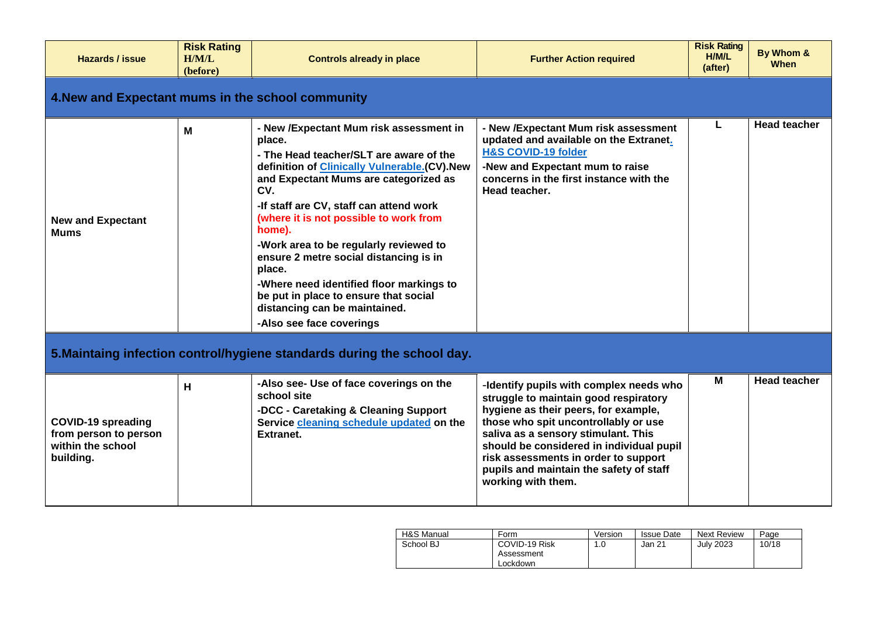| Hazards / issue                                                                      | <b>Risk Rating</b><br>H/M/L<br>(before) | <b>Controls already in place</b>                                                                                                                                                                                                                                                                                                                                                                                                                                                                                                            | <b>Further Action required</b>                                                                                                                                                                                                                                                                                                                               | <b>Risk Rating</b><br>H/M/L<br>(after) | By Whom &<br>When   |
|--------------------------------------------------------------------------------------|-----------------------------------------|---------------------------------------------------------------------------------------------------------------------------------------------------------------------------------------------------------------------------------------------------------------------------------------------------------------------------------------------------------------------------------------------------------------------------------------------------------------------------------------------------------------------------------------------|--------------------------------------------------------------------------------------------------------------------------------------------------------------------------------------------------------------------------------------------------------------------------------------------------------------------------------------------------------------|----------------------------------------|---------------------|
| 4. New and Expectant mums in the school community                                    |                                         |                                                                                                                                                                                                                                                                                                                                                                                                                                                                                                                                             |                                                                                                                                                                                                                                                                                                                                                              |                                        |                     |
| <b>New and Expectant</b><br><b>Mums</b>                                              | M                                       | - New /Expectant Mum risk assessment in<br>place.<br>- The Head teacher/SLT are aware of the<br>definition of Clinically Vulnerable.(CV).New<br>and Expectant Mums are categorized as<br>CV.<br>-If staff are CV, staff can attend work<br>(where it is not possible to work from<br>home).<br>-Work area to be regularly reviewed to<br>ensure 2 metre social distancing is in<br>place.<br>-Where need identified floor markings to<br>be put in place to ensure that social<br>distancing can be maintained.<br>-Also see face coverings | - New /Expectant Mum risk assessment<br>updated and available on the Extranet.<br><b>H&amp;S COVID-19 folder</b><br>-New and Expectant mum to raise<br>concerns in the first instance with the<br>Head teacher.                                                                                                                                              | L                                      | <b>Head teacher</b> |
|                                                                                      |                                         | 5. Maintaing infection control/hygiene standards during the school day.                                                                                                                                                                                                                                                                                                                                                                                                                                                                     |                                                                                                                                                                                                                                                                                                                                                              |                                        |                     |
| <b>COVID-19 spreading</b><br>from person to person<br>within the school<br>building. | н                                       | -Also see- Use of face coverings on the<br>school site<br>-DCC - Caretaking & Cleaning Support<br>Service cleaning schedule updated on the<br>Extranet.                                                                                                                                                                                                                                                                                                                                                                                     | -Identify pupils with complex needs who<br>struggle to maintain good respiratory<br>hygiene as their peers, for example,<br>those who spit uncontrollably or use<br>saliva as a sensory stimulant. This<br>should be considered in individual pupil<br>risk assessments in order to support<br>pupils and maintain the safety of staff<br>working with them. | Μ                                      | <b>Head teacher</b> |

| H&S Manual | Form                                    | Version | <b>Issue Date</b> | <b>Next Review</b> | Page  |
|------------|-----------------------------------------|---------|-------------------|--------------------|-------|
| School BJ  | COVID-19 Risk<br>Assessment<br>Lockdown | .0      | Jan 21            | <b>July 2023</b>   | 10/18 |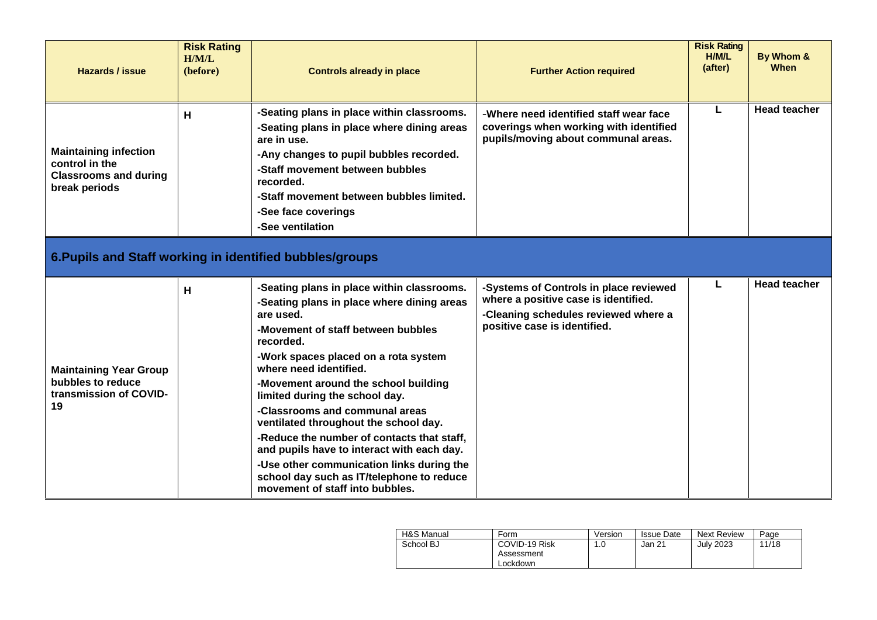| <b>Hazards / issue</b>                                                                          | <b>Risk Rating</b><br>H/M/L<br>(before) | <b>Controls already in place</b>                                                                                                                                                                                                                                                                                                                                                                                                                                                                                                                                                                         | <b>Further Action required</b>                                                                                                                         | <b>Risk Rating</b><br>H/M/L<br>(after) | By Whom &<br><b>When</b> |
|-------------------------------------------------------------------------------------------------|-----------------------------------------|----------------------------------------------------------------------------------------------------------------------------------------------------------------------------------------------------------------------------------------------------------------------------------------------------------------------------------------------------------------------------------------------------------------------------------------------------------------------------------------------------------------------------------------------------------------------------------------------------------|--------------------------------------------------------------------------------------------------------------------------------------------------------|----------------------------------------|--------------------------|
| <b>Maintaining infection</b><br>control in the<br><b>Classrooms and during</b><br>break periods | н                                       | -Seating plans in place within classrooms.<br>-Seating plans in place where dining areas<br>are in use.<br>-Any changes to pupil bubbles recorded.<br>-Staff movement between bubbles<br>recorded.<br>-Staff movement between bubbles limited.<br>-See face coverings<br>-See ventilation                                                                                                                                                                                                                                                                                                                | -Where need identified staff wear face<br>coverings when working with identified<br>pupils/moving about communal areas.                                | L                                      | <b>Head teacher</b>      |
| 6. Pupils and Staff working in identified bubbles/groups                                        |                                         |                                                                                                                                                                                                                                                                                                                                                                                                                                                                                                                                                                                                          |                                                                                                                                                        |                                        |                          |
| <b>Maintaining Year Group</b><br>bubbles to reduce<br>transmission of COVID-<br>19              | H                                       | -Seating plans in place within classrooms.<br>-Seating plans in place where dining areas<br>are used.<br>-Movement of staff between bubbles<br>recorded.<br>-Work spaces placed on a rota system<br>where need identified.<br>-Movement around the school building<br>limited during the school day.<br>-Classrooms and communal areas<br>ventilated throughout the school day.<br>-Reduce the number of contacts that staff,<br>and pupils have to interact with each day.<br>-Use other communication links during the<br>school day such as IT/telephone to reduce<br>movement of staff into bubbles. | -Systems of Controls in place reviewed<br>where a positive case is identified.<br>-Cleaning schedules reviewed where a<br>positive case is identified. | L                                      | <b>Head teacher</b>      |

| H&S Manual | Form                                    | Version | <b>Issue Date</b> | <b>Next Review</b> | Page  |
|------------|-----------------------------------------|---------|-------------------|--------------------|-------|
| School BJ  | COVID-19 Risk<br>Assessment<br>Lockdown | 1.0     | Jan 21            | July 2023          | 11/18 |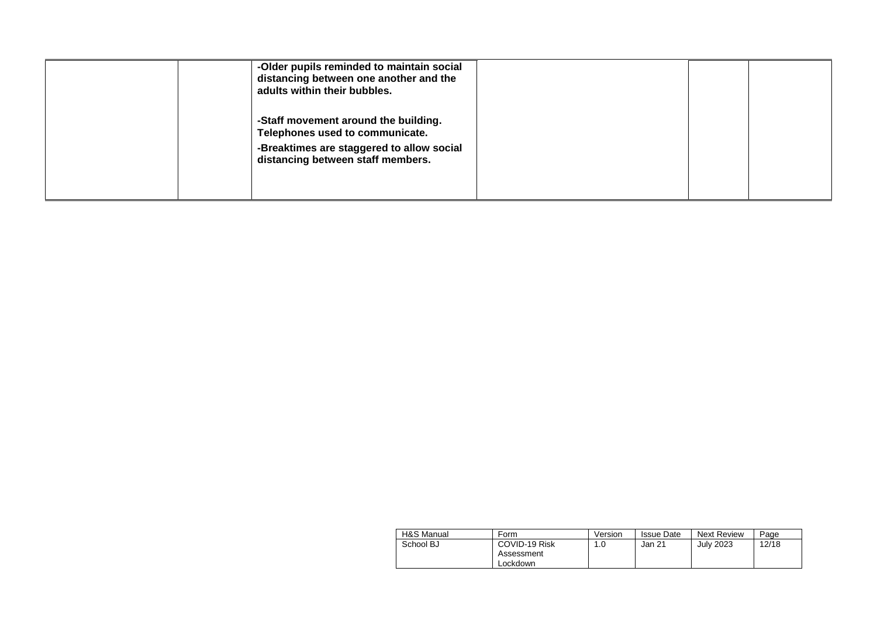| -Older pupils reminded to maintain social<br>distancing between one another and the<br>adults within their bubbles.                                       |  |  |
|-----------------------------------------------------------------------------------------------------------------------------------------------------------|--|--|
| -Staff movement around the building.<br>Telephones used to communicate.<br>-Breaktimes are staggered to allow social<br>distancing between staff members. |  |  |

| H&S Manual | Form                                    | Version | <b>Issue Date</b> | <b>Next Review</b> | Page  |
|------------|-----------------------------------------|---------|-------------------|--------------------|-------|
| School BJ  | COVID-19 Risk<br>Assessment<br>_ockdown | 1.0     | Jan 21            | <b>July 2023</b>   | 12/18 |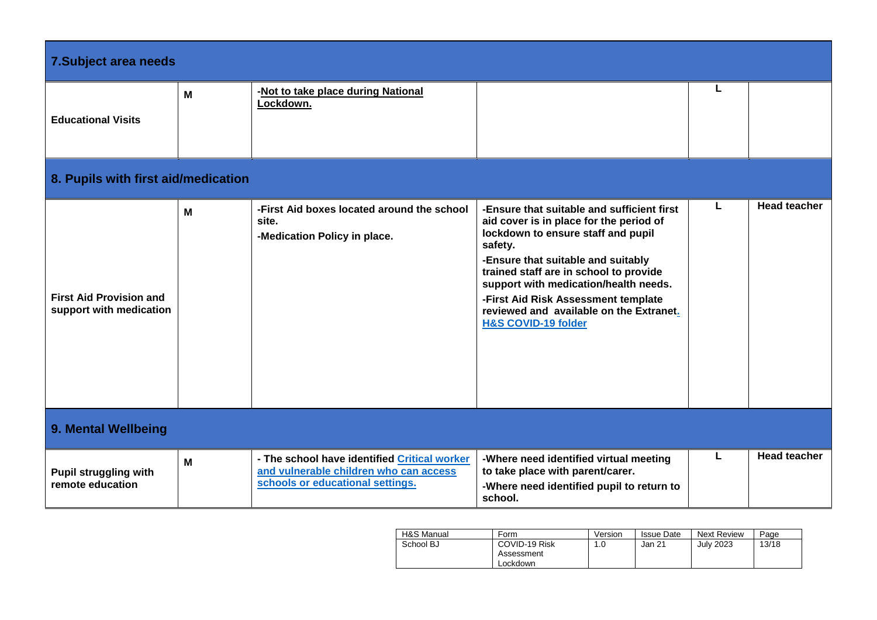| 7. Subject area needs                                     |   |                                                                                                                            |                                                                                                                                                                                                                                                                                                                                                                                     |   |                     |  |  |
|-----------------------------------------------------------|---|----------------------------------------------------------------------------------------------------------------------------|-------------------------------------------------------------------------------------------------------------------------------------------------------------------------------------------------------------------------------------------------------------------------------------------------------------------------------------------------------------------------------------|---|---------------------|--|--|
| <b>Educational Visits</b>                                 | M | -Not to take place during National<br>Lockdown.                                                                            |                                                                                                                                                                                                                                                                                                                                                                                     |   |                     |  |  |
| 8. Pupils with first aid/medication                       |   |                                                                                                                            |                                                                                                                                                                                                                                                                                                                                                                                     |   |                     |  |  |
| <b>First Aid Provision and</b><br>support with medication | M | -First Aid boxes located around the school<br>site.<br>-Medication Policy in place.                                        | -Ensure that suitable and sufficient first<br>aid cover is in place for the period of<br>lockdown to ensure staff and pupil<br>safety.<br>-Ensure that suitable and suitably<br>trained staff are in school to provide<br>support with medication/health needs.<br>-First Aid Risk Assessment template<br>reviewed and available on the Extranet.<br><b>H&amp;S COVID-19 folder</b> | L | <b>Head teacher</b> |  |  |
| 9. Mental Wellbeing                                       |   |                                                                                                                            |                                                                                                                                                                                                                                                                                                                                                                                     |   |                     |  |  |
| <b>Pupil struggling with</b><br>remote education          | M | - The school have identified Critical worker<br>and vulnerable children who can access<br>schools or educational settings. | -Where need identified virtual meeting<br>to take place with parent/carer.<br>-Where need identified pupil to return to<br>school.                                                                                                                                                                                                                                                  | L | <b>Head teacher</b> |  |  |

| H&S Manual | Form                                    | Version | <b>Issue Date</b> | <b>Next Review</b> | Page  |
|------------|-----------------------------------------|---------|-------------------|--------------------|-------|
| School BJ  | COVID-19 Risk<br>Assessment<br>_ockdown | 0.،     | Jan 21            | July 2023          | 13/18 |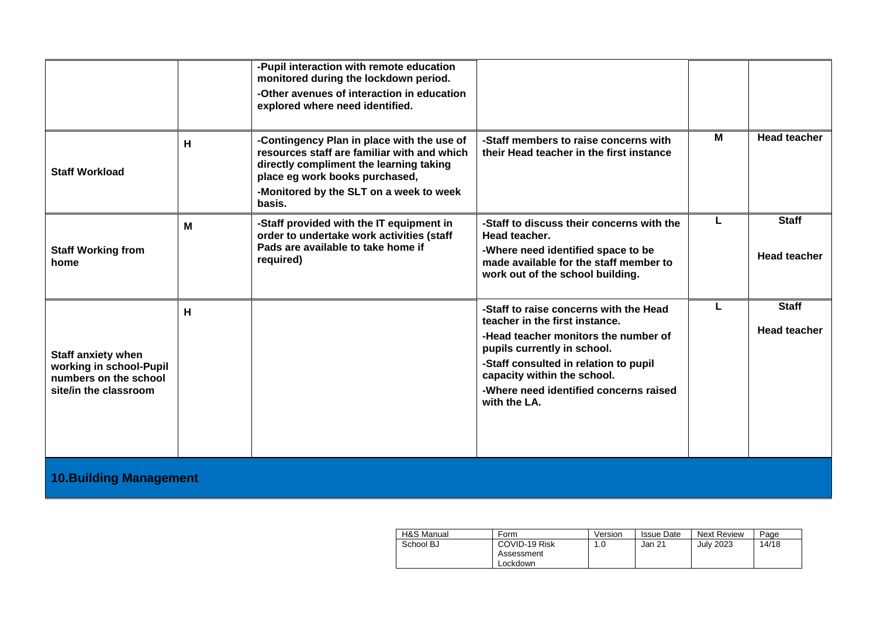|                                                                                                        |   | -Pupil interaction with remote education<br>monitored during the lockdown period.<br>-Other avenues of interaction in education<br>explored where need identified.                                                          |                                                                                                                                                                                                                                                                                   |   |                                     |
|--------------------------------------------------------------------------------------------------------|---|-----------------------------------------------------------------------------------------------------------------------------------------------------------------------------------------------------------------------------|-----------------------------------------------------------------------------------------------------------------------------------------------------------------------------------------------------------------------------------------------------------------------------------|---|-------------------------------------|
| <b>Staff Workload</b>                                                                                  | н | -Contingency Plan in place with the use of<br>resources staff are familiar with and which<br>directly compliment the learning taking<br>place eg work books purchased,<br>-Monitored by the SLT on a week to week<br>basis. | -Staff members to raise concerns with<br>their Head teacher in the first instance                                                                                                                                                                                                 | M | <b>Head teacher</b>                 |
| <b>Staff Working from</b><br>home                                                                      | М | -Staff provided with the IT equipment in<br>order to undertake work activities (staff<br>Pads are available to take home if<br>required)                                                                                    | -Staff to discuss their concerns with the<br>Head teacher.<br>-Where need identified space to be<br>made available for the staff member to<br>work out of the school building.                                                                                                    | L | <b>Staff</b><br><b>Head teacher</b> |
| <b>Staff anxiety when</b><br>working in school-Pupil<br>numbers on the school<br>site/in the classroom | н |                                                                                                                                                                                                                             | -Staff to raise concerns with the Head<br>teacher in the first instance.<br>-Head teacher monitors the number of<br>pupils currently in school.<br>-Staff consulted in relation to pupil<br>capacity within the school.<br>-Where need identified concerns raised<br>with the LA. |   | <b>Staff</b><br><b>Head teacher</b> |
| <b>10. Building Management</b>                                                                         |   |                                                                                                                                                                                                                             |                                                                                                                                                                                                                                                                                   |   |                                     |

| H&S Manual | Form                                     | Version | <b>Issue Date</b> | <b>Next Review</b> | Page  |
|------------|------------------------------------------|---------|-------------------|--------------------|-------|
| School BJ  | COVID-19 Risk<br>Assessment<br>_ockdown_ | 1.0     | Jan 21            | <b>July 2023</b>   | 14/18 |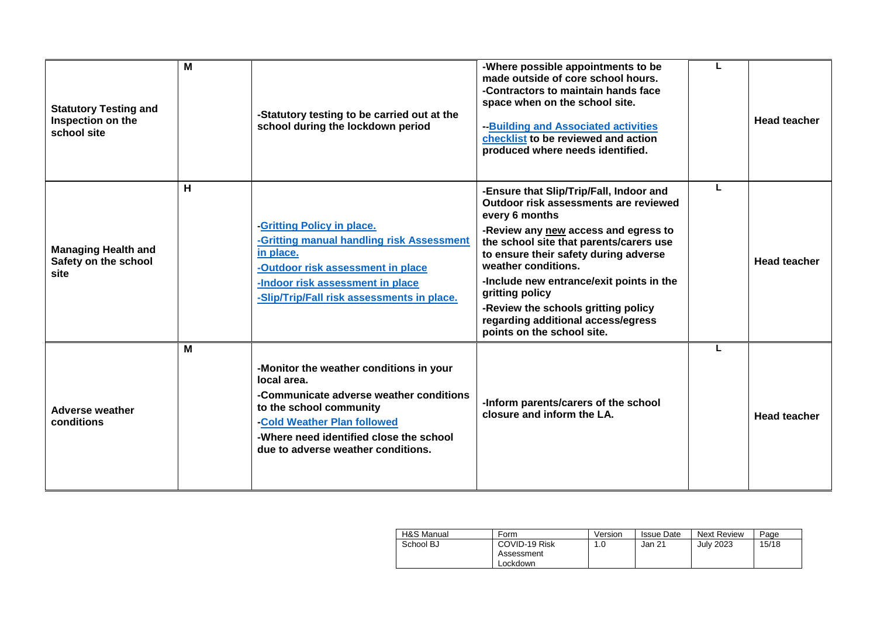| <b>Statutory Testing and</b><br>Inspection on the<br>school site | М | -Statutory testing to be carried out at the<br>school during the lockdown period                                                                                                                                                             | -Where possible appointments to be<br>made outside of core school hours.<br>-Contractors to maintain hands face<br>space when on the school site.<br>-Building and Associated activities<br>checklist to be reviewed and action<br>produced where needs identified.                                                                                                                                                             | L | <b>Head teacher</b> |
|------------------------------------------------------------------|---|----------------------------------------------------------------------------------------------------------------------------------------------------------------------------------------------------------------------------------------------|---------------------------------------------------------------------------------------------------------------------------------------------------------------------------------------------------------------------------------------------------------------------------------------------------------------------------------------------------------------------------------------------------------------------------------|---|---------------------|
| <b>Managing Health and</b><br>Safety on the school<br>site       | H | <b>Gritting Policy in place.</b><br>-Gritting manual handling risk Assessment<br>in place.<br>-Outdoor risk assessment in place<br>-Indoor risk assessment in place<br>-Slip/Trip/Fall risk assessments in place.                            | -Ensure that Slip/Trip/Fall, Indoor and<br>Outdoor risk assessments are reviewed<br>every 6 months<br>-Review any new access and egress to<br>the school site that parents/carers use<br>to ensure their safety during adverse<br>weather conditions.<br>-Include new entrance/exit points in the<br>gritting policy<br>-Review the schools gritting policy<br>regarding additional access/egress<br>points on the school site. | L | <b>Head teacher</b> |
| <b>Adverse weather</b><br>conditions                             | М | -Monitor the weather conditions in your<br>local area.<br>-Communicate adverse weather conditions<br>to the school community<br>-Cold Weather Plan followed<br>-Where need identified close the school<br>due to adverse weather conditions. | -Inform parents/carers of the school<br>closure and inform the LA.                                                                                                                                                                                                                                                                                                                                                              | L | <b>Head teacher</b> |

| H&S Manual | Form                                    | Version | <b>Issue Date</b> | <b>Next Review</b> | Page  |
|------------|-----------------------------------------|---------|-------------------|--------------------|-------|
| School BJ  | COVID-19 Risk<br>Assessment<br>∟ockdown | 1.0     | Jan 21            | July 2023          | 15/18 |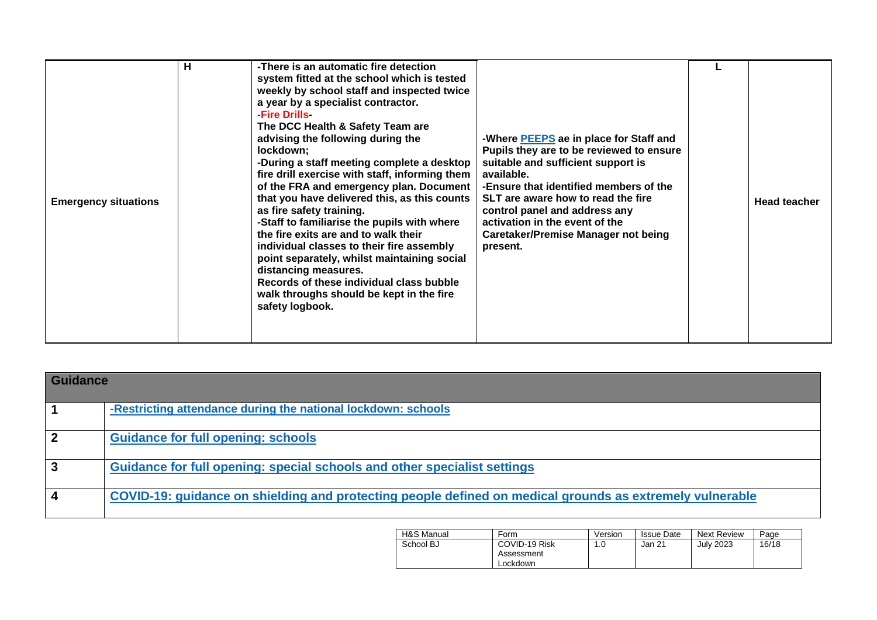| <b>Emergency situations</b> | н | -There is an automatic fire detection<br>system fitted at the school which is tested<br>weekly by school staff and inspected twice<br>a year by a specialist contractor.<br><b>Fire Drills</b><br>The DCC Health & Safety Team are<br>advising the following during the<br>lockdown;<br>-During a staff meeting complete a desktop<br>fire drill exercise with staff, informing them<br>of the FRA and emergency plan. Document<br>that you have delivered this, as this counts<br>as fire safety training.<br>-Staff to familiarise the pupils with where<br>the fire exits are and to walk their<br>individual classes to their fire assembly<br>point separately, whilst maintaining social<br>distancing measures.<br>Records of these individual class bubble<br>walk throughs should be kept in the fire<br>safety logbook. | -Where PEEPS ae in place for Staff and<br>Pupils they are to be reviewed to ensure<br>suitable and sufficient support is<br>available.<br>-Ensure that identified members of the<br>SLT are aware how to read the fire<br>control panel and address any<br>activation in the event of the<br><b>Caretaker/Premise Manager not being</b><br>present. |  | <b>Head teacher</b> |
|-----------------------------|---|-----------------------------------------------------------------------------------------------------------------------------------------------------------------------------------------------------------------------------------------------------------------------------------------------------------------------------------------------------------------------------------------------------------------------------------------------------------------------------------------------------------------------------------------------------------------------------------------------------------------------------------------------------------------------------------------------------------------------------------------------------------------------------------------------------------------------------------|-----------------------------------------------------------------------------------------------------------------------------------------------------------------------------------------------------------------------------------------------------------------------------------------------------------------------------------------------------|--|---------------------|
|-----------------------------|---|-----------------------------------------------------------------------------------------------------------------------------------------------------------------------------------------------------------------------------------------------------------------------------------------------------------------------------------------------------------------------------------------------------------------------------------------------------------------------------------------------------------------------------------------------------------------------------------------------------------------------------------------------------------------------------------------------------------------------------------------------------------------------------------------------------------------------------------|-----------------------------------------------------------------------------------------------------------------------------------------------------------------------------------------------------------------------------------------------------------------------------------------------------------------------------------------------------|--|---------------------|

| <b>Guidance</b> |                                                                                                          |
|-----------------|----------------------------------------------------------------------------------------------------------|
|                 | -Restricting attendance during the national lockdown: schools                                            |
| $\mathbf{2}$    | <b>Guidance for full opening: schools</b>                                                                |
| 3               | Guidance for full opening: special schools and other specialist settings                                 |
|                 | COVID-19: guidance on shielding and protecting people defined on medical grounds as extremely vulnerable |

| H&S Manual | Form                                    | Version | <b>Issue Date</b> | <b>Next Review</b> | Page  |
|------------|-----------------------------------------|---------|-------------------|--------------------|-------|
| School BJ  | COVID-19 Risk<br>Assessment<br>Lockdown | 1.0     | Jan 21            | <b>July 2023</b>   | 16/18 |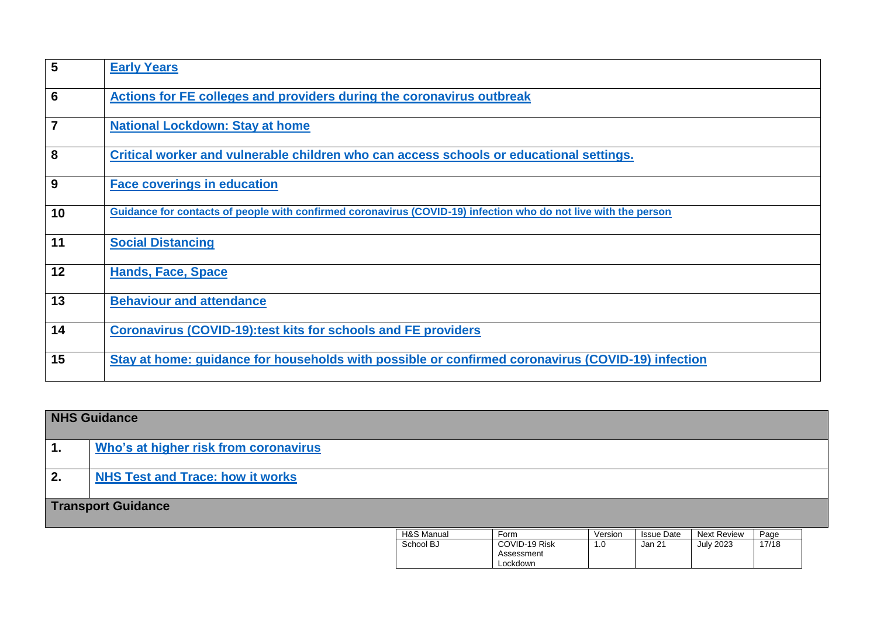| 5                | <b>Early Years</b>                                                                                              |
|------------------|-----------------------------------------------------------------------------------------------------------------|
| $6\phantom{1}$   | <b>Actions for FE colleges and providers during the coronavirus outbreak</b>                                    |
| $\overline{7}$   | <b>National Lockdown: Stay at home</b>                                                                          |
| 8                | Critical worker and vulnerable children who can access schools or educational settings.                         |
| $\boldsymbol{9}$ | <b>Face coverings in education</b>                                                                              |
| 10               | Guidance for contacts of people with confirmed coronavirus (COVID-19) infection who do not live with the person |
| 11               | <b>Social Distancing</b>                                                                                        |
| 12               | <b>Hands, Face, Space</b>                                                                                       |
| 13               | <b>Behaviour and attendance</b>                                                                                 |
| 14               | <b>Coronavirus (COVID-19):test kits for schools and FE providers</b>                                            |
| 15               | Stay at home: guidance for households with possible or confirmed coronavirus (COVID-19) infection               |

|    | <b>NHS Guidance</b>                     |                                    |                       |                |                             |                                 |               |  |
|----|-----------------------------------------|------------------------------------|-----------------------|----------------|-----------------------------|---------------------------------|---------------|--|
| 1. | Who's at higher risk from coronavirus   |                                    |                       |                |                             |                                 |               |  |
| 2. | <b>NHS Test and Trace: how it works</b> |                                    |                       |                |                             |                                 |               |  |
|    | <b>Transport Guidance</b>               |                                    |                       |                |                             |                                 |               |  |
|    |                                         | <b>H&amp;S Manual</b><br>School BJ | Form<br>COVID-19 Risk | Version<br>1.0 | <b>Issue Date</b><br>Jan 21 | <b>Next Review</b><br>July 2023 | Page<br>17/18 |  |

| H&S Manual | Form                                    | Version | <b>Issue Date</b> | <b>Next Review</b> | Page  |
|------------|-----------------------------------------|---------|-------------------|--------------------|-------|
| School BJ  | COVID-19 Risk<br>Assessment<br>.ockdown | 1.0     | Jan 21            | July 2023          | 17/18 |